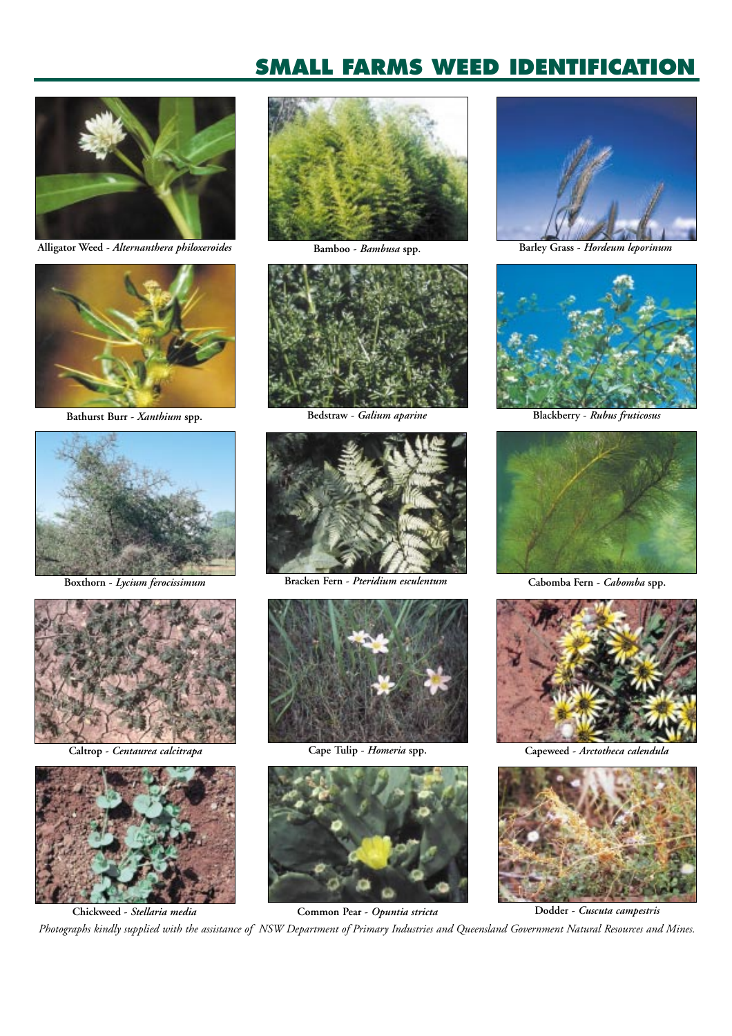

**Alligator Weed -** *Alternanthera philoxeroides*



**Bathurst Burr -** *Xanthium* **spp. Bedstraw -** *Galium aparine* **Blackberry -** *Rubus fruticosus*



**Boxthorn -** *Lycium ferocissimum*



**Caltrop -** *Centaurea calcitrapa*









**Bracken Fern -** *Pteridium esculentum* **Cabomba Fern -** *Cabomba* **spp.**







**Bamboo -** *Bambusa* **spp. Barley Grass -** *Hordeum leporinum*







**Cape Tulip -** *Homeria* **spp. Capeweed -** *Arctotheca calendula*



**Chickweed -** *Stellaria media* **Common Pear -** *Opuntia stricta* **Dodder -** *Cuscuta campestris Photographs kindly supplied with the assistance of NSW Department of Primary Industries and Queensland Government Natural Resources and Mines.*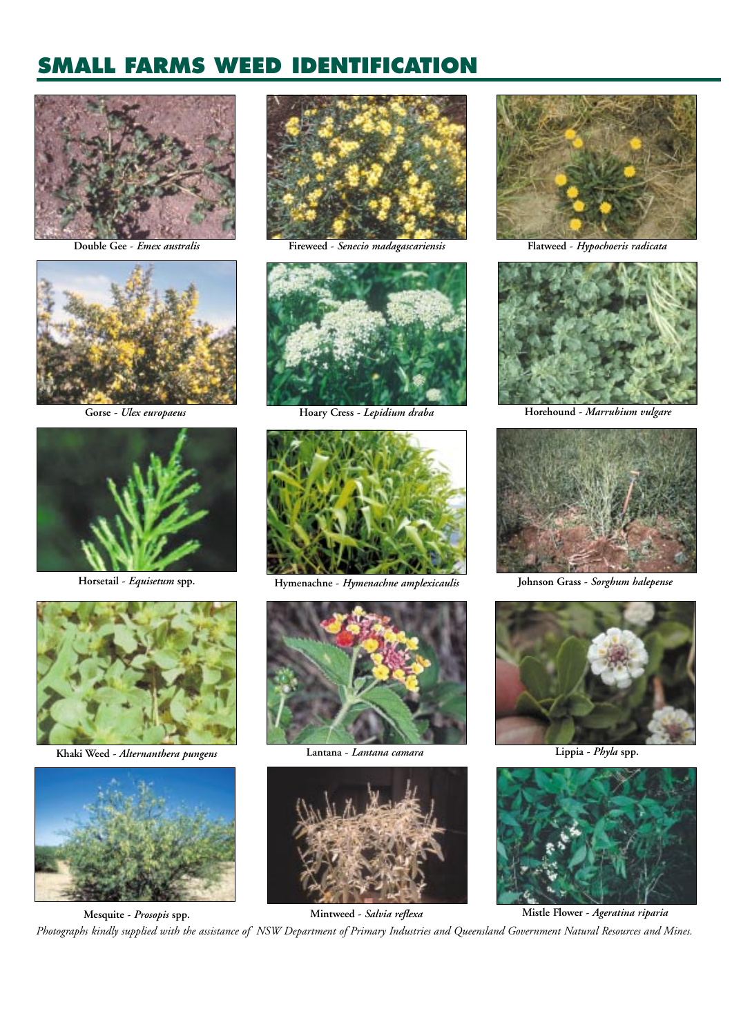

**Double Gee -** *Emex australis*



**Gorse -** *Ulex europaeus*





**Khaki Weed -** *Alternanthera pungens*





**Fireweed -** *Senecio madagascariensis* **Flatweed -** *Hypochoeris radicata*





Horsetail - *Equisetum* spp. **Hymenachne -** *Hymenachne amplexicaulis* 



**Lantana -** *Lantana camara*







**Mintweed -** *Salvia reflexa* **Mistle Flower -** *Ageratina riparia* **Mesquite -** *Prosopis* **spp.** *Photographs kindly supplied with the assistance of NSW Department of Primary Industries and Queensland Government Natural Resources and Mines.*





**Hoary Cress -** *Lepidium draba* **Horehound -** *Marrubium vulgare*



**Johnson Grass -** *Sorghum halepense*



**Lippia -** *Phyla* **spp.**

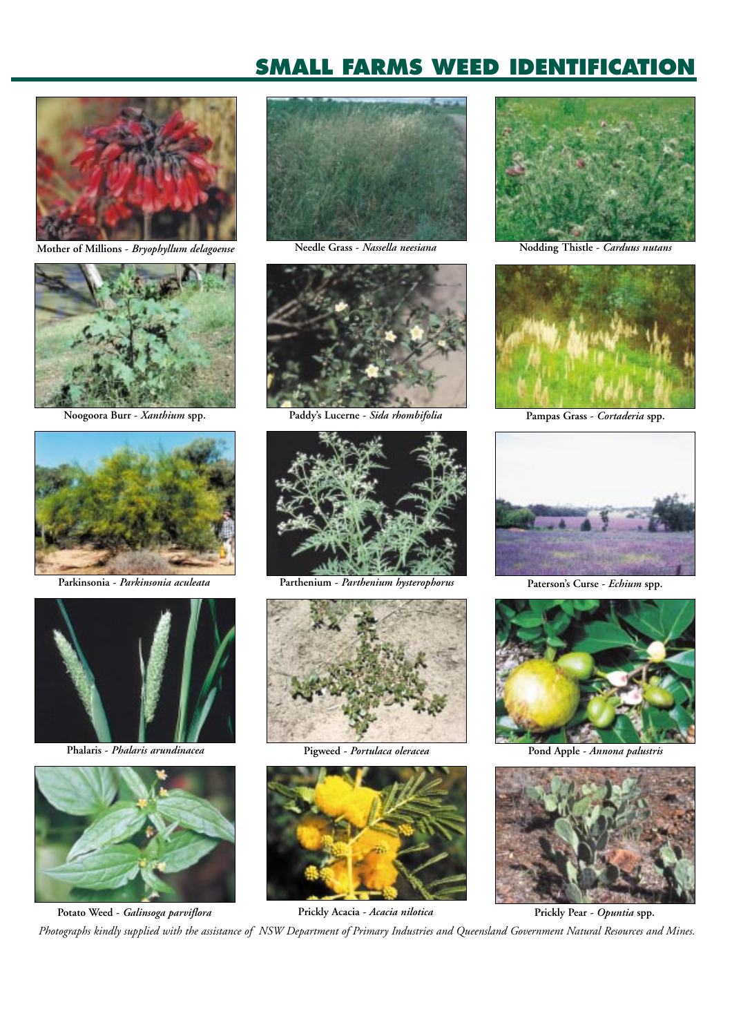

**Mother of Millions -** *Bryophyllum delagoense*



**Noogoora Burr -** *Xanthium* **spp.**



**Parkinsonia -** *Parkinsonia aculeata*



**Phalaris -** *Phalaris arundinacea*







**Paddy's Lucerne -** *Sida rhombifolia* **Pampas Grass -** *Cortaderia* **spp.**



**Parthenium -** *Parthenium hysterophorus* **Paterson's Curse -** *Echium* **spp.**



**Pigweed -** *Portulaca oleracea* **Pond Apple -** *Annona palustris*



**Potato Weed -** *Galinsoga parviflora* **Prickly Acacia -** *Acacia nilotica* **Prickly Pear -** *Opuntia* **spp.**



**Needle Grass -** *Nassella neesiana* **Nodding Thistle -** *Carduus nutans*









*Photographs kindly supplied with the assistance of NSW Department of Primary Industries and Queensland Government Natural Resources and Mines.*